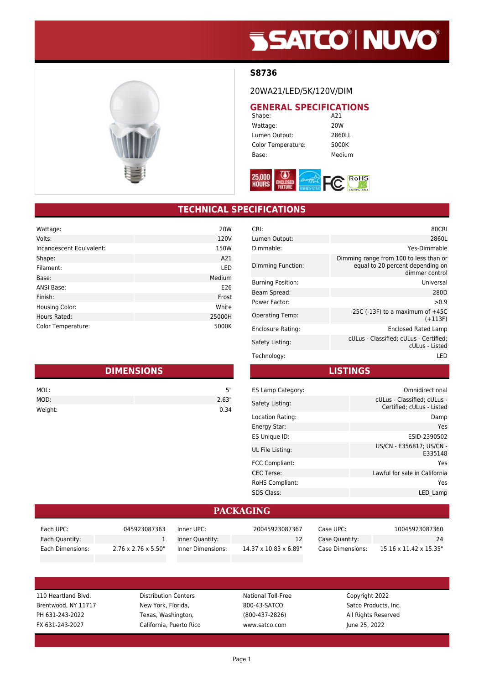# **SSATCO' NUVO'**



#### **S8736**

20WA21/LED/5K/120V/DIM

## **GENERAL SPECIFICATIONS**<br>A21

Shape: Wattage: 20W Lumen Output: 2860LL Color Temperature: 5000K Base: Medium



### **TECHNICAL SPECIFICATIONS**

| Wattage:                 | 20W    |
|--------------------------|--------|
| Volts:                   | 120V   |
| Incandescent Equivalent: | 150W   |
| Shape:                   | A21    |
| Filament:                | LED    |
| Base:                    | Medium |
| <b>ANSI Base:</b>        | E26    |
| Finish:                  | Frost  |
| Housing Color:           | White  |
| Hours Rated:             | 25000H |
| Color Temperature:       | 5000K  |

| <b>DIMENSIONS</b> |       |  |
|-------------------|-------|--|
| MOL:              | 5"    |  |
| MOD:              | 2.63" |  |
| Weight:           | 0.34  |  |

| CRI:                     | 80CRI                                                                                        |
|--------------------------|----------------------------------------------------------------------------------------------|
| Lumen Output:            | 2860L                                                                                        |
| Dimmable:                | Yes-Dimmable                                                                                 |
| Dimming Function:        | Dimming range from 100 to less than or<br>equal to 20 percent depending on<br>dimmer control |
| <b>Burning Position:</b> | Universal                                                                                    |
| Beam Spread:             | 280D                                                                                         |
| Power Factor:            | > 0.9                                                                                        |
| Operating Temp:          | -25C (-13F) to a maximum of $+45C$<br>$(+113F)$                                              |
| Enclosure Rating:        | Enclosed Rated Lamp                                                                          |
| Safety Listing:          | cULus - Classified; cULus - Certified;<br>cULus - Listed                                     |
| Technology:              | I FD                                                                                         |

#### **LISTINGS**

| ES Lamp Category:      | Omnidirectional                                          |
|------------------------|----------------------------------------------------------|
| Safety Listing:        | cULus - Classified: cULus -<br>Certified; cULus - Listed |
| Location Rating:       | Damp                                                     |
| Energy Star:           | Yes                                                      |
| ES Unique ID:          | ESID-2390502                                             |
| UL File Listing:       | US/CN - E356817: US/CN -<br>E335148                      |
| <b>FCC Compliant:</b>  | Yes                                                      |
| <b>CEC</b> Terse:      | Lawful for sale in California                            |
| <b>RoHS Compliant:</b> | Yes                                                      |
| <b>SDS Class:</b>      | LED Lamp                                                 |

#### **PACKAGING**

| Each UPC:        | 045923087363                     | Inner UPC:        | 20045923087367                     | Case UPC:        | 10045923087360         |
|------------------|----------------------------------|-------------------|------------------------------------|------------------|------------------------|
| Each Quantity:   |                                  | Inner Quantity:   |                                    | Case Quantity:   | 24                     |
| Each Dimensions: | $2.76 \times 2.76 \times 5.50$ " | Inner Dimensions: | $14.37 \times 10.83 \times 6.89$ " | Case Dimensions: | 15.16 x 11.42 x 15.35" |

110 Heartland Blvd. Distribution Centers National Toll-Free Copyright 2022 Brentwood, NY 11717 New York, Florida, 800-43-SATCO Satco Products, Inc. PH 631-243-2022 Texas, Washington, (800-437-2826) All Rights Reserved FX 631-243-2027 California, Puerto Rico www.satco.com June 25, 2022